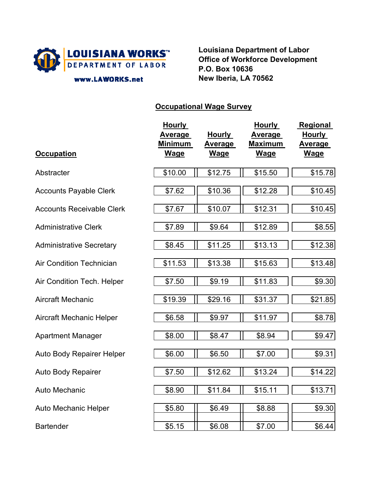

www.LAWORKS.net

**Louisiana Department of Labor Office of Workforce Development P.O. Box 10636 New Iberia, LA 70562**

## **Occupational Wage Survey**

| <b>Occupation</b>                | <b>Hourly</b><br><b>Average</b><br>Minimum<br>Wage | <b>Hourly</b><br><b>Average</b><br>Wage | <b>Hourly</b><br><u>Average</u><br>Maximum<br>Wage | Regional<br><b>Hourly</b><br><u>Average</u><br>Wage |
|----------------------------------|----------------------------------------------------|-----------------------------------------|----------------------------------------------------|-----------------------------------------------------|
| Abstracter                       | \$10.00                                            | \$12.75                                 | \$15.50                                            | \$15.78                                             |
| <b>Accounts Payable Clerk</b>    | \$7.62                                             | \$10.36                                 | \$12.28                                            | \$10.45                                             |
| <b>Accounts Receivable Clerk</b> | \$7.67                                             | \$10.07                                 | \$12.31                                            | \$10.45                                             |
| <b>Administrative Clerk</b>      | \$7.89                                             | \$9.64                                  | \$12.89                                            | \$8.55                                              |
| <b>Administrative Secretary</b>  | \$8.45                                             | \$11.25                                 | \$13.13                                            | \$12.38                                             |
| <b>Air Condition Technician</b>  | \$11.53                                            | \$13.38                                 | \$15.63                                            | \$13.48                                             |
| Air Condition Tech. Helper       | \$7.50                                             | \$9.19                                  | \$11.83                                            | \$9.30                                              |
| <b>Aircraft Mechanic</b>         | \$19.39                                            | \$29.16                                 | \$31.37                                            | \$21.85                                             |
| <b>Aircraft Mechanic Helper</b>  | \$6.58                                             | \$9.97                                  | \$11.97                                            | \$8.78                                              |
| <b>Apartment Manager</b>         | \$8.00                                             | \$8.47                                  | \$8.94                                             | \$9.47                                              |
| <b>Auto Body Repairer Helper</b> | \$6.00                                             | \$6.50                                  | \$7.00                                             | \$9.31                                              |
| Auto Body Repairer               | \$7.50                                             | \$12.62                                 | \$13.24                                            | \$14.22                                             |
| Auto Mechanic                    | \$8.90                                             | \$11.84                                 | \$15.11                                            | \$13.71                                             |
| <b>Auto Mechanic Helper</b>      | \$5.80                                             | \$6.49                                  | \$8.88                                             | \$9.30                                              |
| <b>Bartender</b>                 | \$5.15                                             | \$6.08                                  | \$7.00                                             | \$6.44                                              |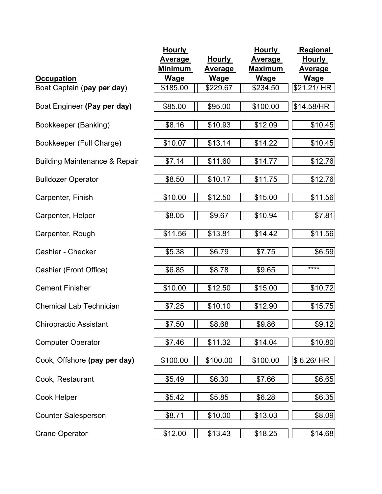| <b>Occupation</b>                        | <b>Hourly</b><br><b>Average</b><br><b>Minimum</b><br><b>Wage</b> | <b>Hourly</b><br><u>Average</u><br><b>Wage</b> | <b>Hourly</b><br><b>Average</b><br><b>Maximum</b><br><b>Wage</b> | <b>Regional</b><br><b>Hourly</b><br><u>Average</u><br><b>Wage</b> |
|------------------------------------------|------------------------------------------------------------------|------------------------------------------------|------------------------------------------------------------------|-------------------------------------------------------------------|
| Boat Captain (pay per day)               | \$185.00                                                         | \$229.67                                       | \$234.50                                                         | \$21.21/ HR                                                       |
| Boat Engineer (Pay per day)              | \$85.00                                                          | \$95.00                                        | \$100.00                                                         | \$14.58/HR                                                        |
| Bookkeeper (Banking)                     | \$8.16                                                           | \$10.93                                        | \$12.09                                                          | \$10.45                                                           |
| Bookkeeper (Full Charge)                 | \$10.07                                                          | \$13.14                                        | \$14.22                                                          | \$10.45                                                           |
| <b>Building Maintenance &amp; Repair</b> | \$7.14                                                           | \$11.60                                        | \$14.77                                                          | \$12.76                                                           |
| <b>Bulldozer Operator</b>                | \$8.50                                                           | \$10.17                                        | \$11.75                                                          | \$12.76                                                           |
| Carpenter, Finish                        | \$10.00                                                          | \$12.50                                        | \$15.00                                                          | \$11.56                                                           |
| Carpenter, Helper                        | \$8.05                                                           | \$9.67                                         | \$10.94                                                          | \$7.81                                                            |
| Carpenter, Rough                         | \$11.56                                                          | \$13.81                                        | \$14.42                                                          | \$11.56                                                           |
| <b>Cashier - Checker</b>                 | \$5.38                                                           | \$6.79                                         | \$7.75                                                           | \$6.59                                                            |
| Cashier (Front Office)                   | \$6.85                                                           | \$8.78                                         | \$9.65                                                           | ****                                                              |
| <b>Cement Finisher</b>                   | \$10.00                                                          | \$12.50                                        | \$15.00                                                          | \$10.72                                                           |
| <b>Chemical Lab Technician</b>           | \$7.25                                                           | \$10.10                                        | \$12.90                                                          | \$15.75                                                           |
| <b>Chiropractic Assistant</b>            | \$7.50                                                           | \$8.68                                         | \$9.86                                                           | \$9.12                                                            |
| <b>Computer Operator</b>                 | \$7.46                                                           | \$11.32                                        | \$14.04                                                          | \$10.80                                                           |
| Cook, Offshore (pay per day)             | \$100.00                                                         | \$100.00                                       | \$100.00                                                         | \$6.26/HR                                                         |
| Cook, Restaurant                         | \$5.49                                                           | \$6.30                                         | \$7.66                                                           | \$6.65                                                            |
| Cook Helper                              | \$5.42                                                           | \$5.85                                         | \$6.28                                                           | \$6.35                                                            |
| <b>Counter Salesperson</b>               | \$8.71                                                           | \$10.00                                        | \$13.03                                                          | \$8.09                                                            |
| <b>Crane Operator</b>                    | \$12.00                                                          | \$13.43                                        | \$18.25                                                          | \$14.68                                                           |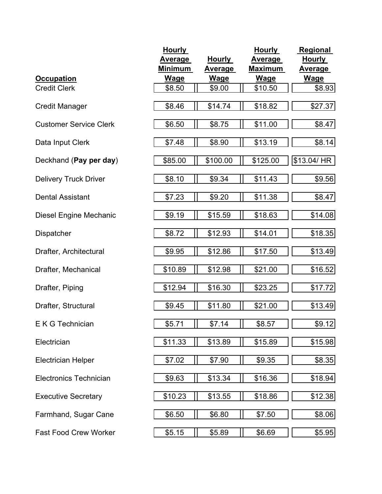|                               | <b>Hourly</b>  |               | <b>Hourly</b>  | Regional       |
|-------------------------------|----------------|---------------|----------------|----------------|
|                               | <u>Average</u> | <b>Hourly</b> | <b>Average</b> | <b>Hourly</b>  |
|                               | <u>Minimum</u> | Average       | <u>Maximum</u> | <u>Average</u> |
| <b>Occupation</b>             | <b>Wage</b>    | <b>Wage</b>   | <b>Wage</b>    | <b>Wage</b>    |
| <b>Credit Clerk</b>           | \$8.50         | \$9.00        | \$10.50        | \$8.93         |
| <b>Credit Manager</b>         | \$8.46         | \$14.74       | \$18.82        | \$27.37        |
| <b>Customer Service Clerk</b> | \$6.50         | \$8.75        | \$11.00        | \$8.47         |
| Data Input Clerk              | \$7.48         | \$8.90        | \$13.19        | \$8.14         |
| Deckhand (Pay per day)        | \$85.00        | \$100.00      | \$125.00       | \$13.04/ HR    |
| <b>Delivery Truck Driver</b>  | \$8.10         | \$9.34        | \$11.43        | \$9.56         |
| <b>Dental Assistant</b>       | \$7.23         | \$9.20        | \$11.38        | \$8.47         |
| Diesel Engine Mechanic        | \$9.19         | \$15.59       | \$18.63        | \$14.08        |
| <b>Dispatcher</b>             | \$8.72         | \$12.93       | \$14.01        | \$18.35        |
| Drafter, Architectural        | \$9.95         | \$12.86       | \$17.50        | \$13.49        |
| Drafter, Mechanical           | \$10.89        | \$12.98       | \$21.00        | \$16.52        |
| Drafter, Piping               | \$12.94        | \$16.30       | \$23.25        | \$17.72        |
| Drafter, Structural           | \$9.45         | \$11.80       | \$21.00        | \$13.49        |
| E K G Technician              | \$5.71         | \$7.14        | \$8.57         | \$9.12         |
| Electrician                   | \$11.33        | \$13.89       | \$15.89        | \$15.98        |
| <b>Electrician Helper</b>     | \$7.02         | \$7.90        | \$9.35         | \$8.35         |
| <b>Electronics Technician</b> | \$9.63         | \$13.34       | \$16.36        | \$18.94        |
| <b>Executive Secretary</b>    | \$10.23        | \$13.55       | \$18.86        | \$12.38        |
| Farmhand, Sugar Cane          | \$6.50         | \$6.80        | \$7.50         | \$8.06         |
| <b>Fast Food Crew Worker</b>  | \$5.15         | \$5.89        | \$6.69         | \$5.95         |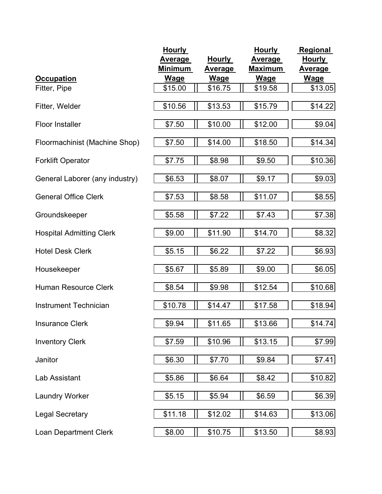|                                 | <b>Hourly</b>  |               | <b>Hourly</b>  | <b>Regional</b> |
|---------------------------------|----------------|---------------|----------------|-----------------|
|                                 | <b>Average</b> | <b>Hourly</b> | <b>Average</b> | <b>Hourly</b>   |
|                                 | <b>Minimum</b> | Average       | <b>Maximum</b> | <b>Average</b>  |
| <b>Occupation</b>               | <b>Wage</b>    | <b>Wage</b>   | <b>Wage</b>    | Wage            |
| Fitter, Pipe                    | \$15.00        | \$16.75       | \$19.58        | \$13.05         |
| Fitter, Welder                  | \$10.56        | \$13.53       | \$15.79        | \$14.22         |
| <b>Floor Installer</b>          | \$7.50         | \$10.00       | \$12.00        | \$9.04          |
| Floormachinist (Machine Shop)   | \$7.50         | \$14.00       | \$18.50        | \$14.34         |
| <b>Forklift Operator</b>        | \$7.75         | \$8.98        | \$9.50         | \$10.36         |
| General Laborer (any industry)  | \$6.53         | \$8.07        | \$9.17         | \$9.03          |
| <b>General Office Clerk</b>     | \$7.53         | \$8.58        | \$11.07        | \$8.55          |
| Groundskeeper                   | \$5.58         | \$7.22        | \$7.43         | \$7.38          |
| <b>Hospital Admitting Clerk</b> | \$9.00         | \$11.90       | \$14.70        | \$8.32          |
| <b>Hotel Desk Clerk</b>         | \$5.15         | \$6.22        | \$7.22         | \$6.93          |
| Housekeeper                     | \$5.67         | \$5.89        | \$9.00         | \$6.05          |
| <b>Human Resource Clerk</b>     | \$8.54         | \$9.98        | \$12.54        | \$10.68         |
| Instrument Technician           | \$10.78        | \$14.47       | \$17.58        | \$18.94         |
| <b>Insurance Clerk</b>          | \$9.94         | \$11.65       | \$13.66        | \$14.74         |
| <b>Inventory Clerk</b>          | \$7.59         | \$10.96       | \$13.15        | \$7.99          |
| Janitor                         | \$6.30         | \$7.70        | \$9.84         | \$7.41          |
| Lab Assistant                   | \$5.86         | \$6.64        | \$8.42         | \$10.82         |
| <b>Laundry Worker</b>           | \$5.15         | \$5.94        | \$6.59         | \$6.39          |
| <b>Legal Secretary</b>          | \$11.18        | \$12.02       | \$14.63        | \$13.06         |
| <b>Loan Department Clerk</b>    | \$8.00         | \$10.75       | \$13.50        | \$8.93          |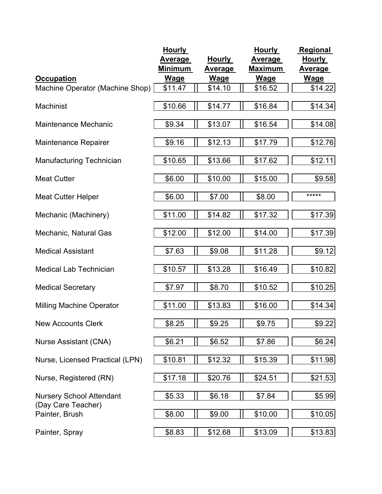|                                                       | <b>Hourly</b>  |               | <b>Hourly</b>  | Regional       |
|-------------------------------------------------------|----------------|---------------|----------------|----------------|
|                                                       | <b>Average</b> | <b>Hourly</b> | <b>Average</b> | <b>Hourly</b>  |
|                                                       | Minimum        | Average       | <b>Maximum</b> | <u>Average</u> |
| <b>Occupation</b>                                     | <b>Wage</b>    | <u>Wage</u>   | <u>Wage</u>    | <b>Wage</b>    |
| Machine Operator (Machine Shop)                       | \$11.47        | \$14.10       | \$16.52        | \$14.22        |
| Machinist                                             | \$10.66        | \$14.77       | \$16.84        | \$14.34        |
| <b>Maintenance Mechanic</b>                           | \$9.34         | \$13.07       | \$16.54        | \$14.08        |
| <b>Maintenance Repairer</b>                           | \$9.16         | \$12.13       | \$17.79        | \$12.76        |
| Manufacturing Technician                              | \$10.65        | \$13.66       | \$17.62        | \$12.11        |
| <b>Meat Cutter</b>                                    | \$6.00         | \$10.00       | \$15.00        | \$9.58         |
| <b>Meat Cutter Helper</b>                             | \$6.00         | \$7.00        | \$8.00         | *****          |
| Mechanic (Machinery)                                  | \$11.00        | \$14.82       | \$17.32        | \$17.39        |
| Mechanic, Natural Gas                                 | \$12.00        | \$12.00       | \$14.00        | \$17.39        |
| <b>Medical Assistant</b>                              | \$7.63         | \$9.08        | \$11.28        | \$9.12         |
| <b>Medical Lab Technician</b>                         | \$10.57        | \$13.28       | \$16.49        | \$10.82        |
| <b>Medical Secretary</b>                              | \$7.97         | \$8.70        | \$10.52        | \$10.25        |
| <b>Milling Machine Operator</b>                       | \$11.00        | \$13.83       | \$16.00        | \$14.34        |
| <b>New Accounts Clerk</b>                             | \$8.25         | \$9.25        | \$9.75         | \$9.22         |
| Nurse Assistant (CNA)                                 | \$6.21         | \$6.52        | \$7.86         | \$6.24         |
| Nurse, Licensed Practical (LPN)                       | \$10.81        | \$12.32       | \$15.39        | \$11.98        |
| Nurse, Registered (RN)                                | \$17.18        | \$20.76       | \$24.51        | \$21.53        |
| <b>Nursery School Attendant</b><br>(Day Care Teacher) | \$5.33         | \$6.18        | \$7.84         | \$5.99         |
| Painter, Brush                                        | \$8.00         | \$9.00        | \$10.00        | \$10.05        |
| Painter, Spray                                        | \$8.83         | \$12.68       | \$13.09        | \$13.83        |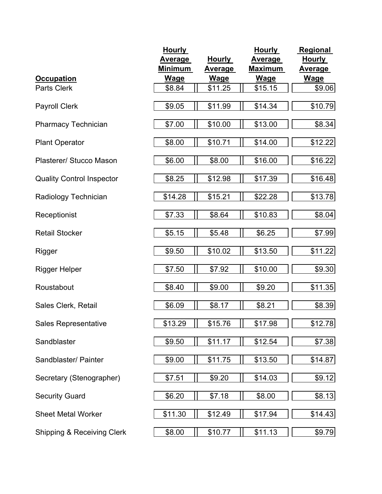|                                  | <b>Hourly</b>  |               | <b>Hourly</b>  | <b>Regional</b> |
|----------------------------------|----------------|---------------|----------------|-----------------|
|                                  | <b>Average</b> | <b>Hourly</b> | <b>Average</b> | <b>Hourly</b>   |
|                                  | <b>Minimum</b> | Average       | Maximum        | <u>Average</u>  |
| <b>Occupation</b>                | <u>Wage</u>    | <u>Wage</u>   | <b>Wage</b>    | <b>Wage</b>     |
| Parts Clerk                      | \$8.84         | \$11.25       | \$15.15        | \$9.06          |
|                                  | \$9.05         |               |                |                 |
| <b>Payroll Clerk</b>             |                | \$11.99       | \$14.34        | \$10.79         |
| <b>Pharmacy Technician</b>       | \$7.00         | \$10.00       | \$13.00        | \$8.34          |
| <b>Plant Operator</b>            | \$8.00         | \$10.71       | \$14.00        | \$12.22         |
| Plasterer/ Stucco Mason          | \$6.00         | \$8.00        | \$16.00        | \$16.22         |
| <b>Quality Control Inspector</b> | \$8.25         | \$12.98       | \$17.39        | \$16.48         |
| Radiology Technician             | \$14.28        | \$15.21       | \$22.28        | \$13.78         |
| Receptionist                     | \$7.33         | \$8.64        | \$10.83        | \$8.04          |
| <b>Retail Stocker</b>            | \$5.15         | \$5.48        | \$6.25         | \$7.99          |
| Rigger                           | \$9.50         | \$10.02       | \$13.50        | \$11.22         |
| <b>Rigger Helper</b>             | \$7.50         | \$7.92        | \$10.00        | \$9.30          |
| Roustabout                       | \$8.40         | \$9.00        | \$9.20         | \$11.35         |
| Sales Clerk, Retail              | \$6.09         | \$8.17        | \$8.21         | \$8.39          |
| Sales Representative             | \$13.29        | \$15.76       | \$17.98        | \$12.78         |
| Sandblaster                      | \$9.50         | \$11.17       | \$12.54        | \$7.38          |
| Sandblaster/ Painter             | \$9.00         | \$11.75       | \$13.50        | \$14.87         |
| Secretary (Stenographer)         | \$7.51         | \$9.20        | \$14.03        | \$9.12          |
| <b>Security Guard</b>            | \$6.20         | \$7.18        | \$8.00         | \$8.13          |
| <b>Sheet Metal Worker</b>        | \$11.30        | \$12.49       | \$17.94        | \$14.43         |
| Shipping & Receiving Clerk       | \$8.00         | \$10.77       | \$11.13        | \$9.79          |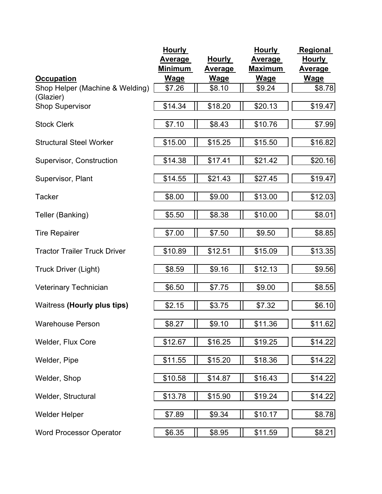|                                     | <b>Hourly</b>  |                | <b>Hourly</b>  | <b>Regional</b> |
|-------------------------------------|----------------|----------------|----------------|-----------------|
|                                     | <b>Average</b> | <b>Hourly</b>  | Average        | <b>Hourly</b>   |
|                                     | Minimum        | <b>Average</b> | <b>Maximum</b> | Average         |
| <b>Occupation</b>                   | <u>Wage</u>    | <u>Wage</u>    | <u>Wage</u>    | <b>Wage</b>     |
| Shop Helper (Machine & Welding)     | \$7.26         | \$8.10         | \$9.24         | \$8.78          |
| (Glazier)                           |                |                |                |                 |
| <b>Shop Supervisor</b>              | \$14.34        | \$18.20        | \$20.13        | \$19.47         |
| <b>Stock Clerk</b>                  | \$7.10         | \$8.43         | \$10.76        | \$7.99          |
| <b>Structural Steel Worker</b>      | \$15.00        | \$15.25        | \$15.50        | \$16.82         |
| Supervisor, Construction            | \$14.38        | \$17.41        | \$21.42        | \$20.16         |
| Supervisor, Plant                   | \$14.55        | \$21.43        | \$27.45        | \$19.47         |
| <b>Tacker</b>                       | \$8.00         | \$9.00         | \$13.00        | \$12.03         |
| Teller (Banking)                    | \$5.50         | \$8.38         | \$10.00        | \$8.01          |
| <b>Tire Repairer</b>                | \$7.00         | \$7.50         | \$9.50         | \$8.85          |
| <b>Tractor Trailer Truck Driver</b> | \$10.89        | \$12.51        | \$15.09        | \$13.35         |
| <b>Truck Driver (Light)</b>         | \$8.59         | \$9.16         | \$12.13        | \$9.56          |
| Veterinary Technician               | \$6.50         | \$7.75         | \$9.00         | \$8.55          |
| <b>Waitress (Hourly plus tips)</b>  | \$2.15         | \$3.75         | \$7.32         | \$6.10          |
| <b>Warehouse Person</b>             | \$8.27         | \$9.10         | \$11.36        | \$11.62         |
| Welder, Flux Core                   | \$12.67        | \$16.25        | \$19.25        | \$14.22         |
| Welder, Pipe                        | \$11.55        | \$15.20        | \$18.36        | \$14.22         |
| Welder, Shop                        | \$10.58        | \$14.87        | \$16.43        | \$14.22         |
| Welder, Structural                  | \$13.78        | \$15.90        | \$19.24        | \$14.22         |
| <b>Welder Helper</b>                | \$7.89         | \$9.34         | \$10.17        | \$8.78          |
| <b>Word Processor Operator</b>      | \$6.35         | \$8.95         | \$11.59        | \$8.21          |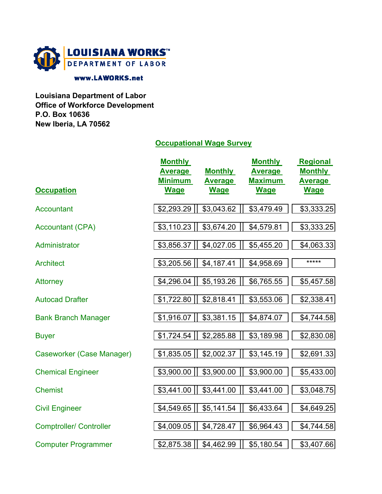

#### www.LAWORKS.net

**Louisiana Department of Labor Office of Workforce Development P.O. Box 10636 New Iberia, LA 70562**

## **Occupational Wage Survey**

| <b>Occupation</b>              | <b>Monthly</b><br><b>Average</b><br><b>Minimum</b><br><b>Wage</b> | <b>Monthly</b><br><b>Average</b><br><b>Wage</b> | <b>Monthly</b><br><b>Average</b><br><b>Maximum</b><br><b>Wage</b> | <b>Regional</b><br><b>Monthly</b><br><b>Average</b><br><b>Wage</b> |
|--------------------------------|-------------------------------------------------------------------|-------------------------------------------------|-------------------------------------------------------------------|--------------------------------------------------------------------|
| <b>Accountant</b>              | \$2,293.29                                                        | \$3,043.62                                      | \$3,479.49                                                        | \$3,333.25                                                         |
| <b>Accountant (CPA)</b>        | \$3,110.23                                                        | \$3,674.20                                      | \$4,579.81                                                        | $\overline{$3,333.25}$                                             |
| Administrator                  | \$3,856.37                                                        | \$4,027.05                                      | \$5,455.20                                                        | \$4,063.33                                                         |
| <b>Architect</b>               | \$3,205.56                                                        | \$4,187.41                                      | \$4,958.69                                                        | *****                                                              |
| <b>Attorney</b>                | \$4,296.04                                                        | \$5,193.26                                      | \$6,765.55                                                        | \$5,457.58                                                         |
| <b>Autocad Drafter</b>         | \$1,722.80                                                        | \$2,818.41                                      | \$3,553.06                                                        | \$2,338.41                                                         |
| <b>Bank Branch Manager</b>     | \$1,916.07                                                        | \$3,381.15                                      | \$4,874.07                                                        | \$4,744.58                                                         |
| <b>Buyer</b>                   | \$1,724.54                                                        | \$2,285.88                                      | \$3,189.98                                                        | \$2,830.08                                                         |
| Caseworker (Case Manager)      | \$1,835.05                                                        | \$2,002.37                                      | \$3,145.19                                                        | \$2,691.33                                                         |
| <b>Chemical Engineer</b>       | \$3,900.00                                                        | \$3,900.00                                      | \$3,900.00                                                        | \$5,433.00                                                         |
| <b>Chemist</b>                 | \$3,441.00                                                        | \$3,441.00                                      | \$3,441.00                                                        | \$3,048.75                                                         |
| <b>Civil Engineer</b>          | \$4,549.65                                                        | \$5,141.54                                      | \$6,433.64                                                        | \$4,649.25                                                         |
| <b>Comptroller/ Controller</b> | \$4,009.05                                                        | \$4,728.47                                      | \$6,964.43                                                        | \$4,744.58                                                         |
| <b>Computer Programmer</b>     | \$2,875.38                                                        | \$4,462.99                                      | \$5,180.54                                                        | \$3,407.66                                                         |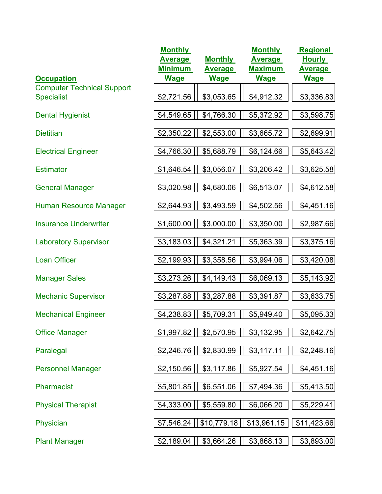| <b>Occupation</b>                                      | <b>Monthly</b><br><b>Average</b><br><b>Minimum</b><br><b>Wage</b> | <b>Monthly</b><br>Average<br><b>Wage</b> | <b>Monthly</b><br><b>Average</b><br><b>Maximum</b><br><b>Wage</b> | <b>Regional</b><br><b>Hourly</b><br><b>Average</b><br><b>Wage</b> |
|--------------------------------------------------------|-------------------------------------------------------------------|------------------------------------------|-------------------------------------------------------------------|-------------------------------------------------------------------|
| <b>Computer Technical Support</b><br><b>Specialist</b> | \$2,721.56                                                        | \$3,053.65                               | \$4,912.32                                                        | \$3,336.83                                                        |
| <b>Dental Hygienist</b>                                | \$4,549.65                                                        | \$4,766.30                               | \$5,372.92                                                        | \$3,598.75                                                        |
| <b>Dietitian</b>                                       | \$2,350.22                                                        | \$2,553.00                               | \$3,665.72                                                        | \$2,699.91                                                        |
| <b>Electrical Engineer</b>                             | \$4,766.30                                                        | \$5,688.79                               | \$6,124.66                                                        | \$5,643.42                                                        |
| <b>Estimator</b>                                       | \$1,646.54                                                        | \$3,056.07                               | \$3,206.42                                                        | \$3,625.58                                                        |
| <b>General Manager</b>                                 | \$3,020.98                                                        | \$4,680.06                               | \$6,513.07                                                        | \$4,612.58                                                        |
| <b>Human Resource Manager</b>                          | \$2,644.93                                                        | \$3,493.59                               | \$4,502.56                                                        | \$4,451.16                                                        |
| <b>Insurance Underwriter</b>                           | \$1,600.00                                                        | \$3,000.00                               | \$3,350.00                                                        | \$2,987.66                                                        |
| <b>Laboratory Supervisor</b>                           | \$3,183.03                                                        | \$4,321.21                               | \$5,363.39                                                        | \$3,375.16                                                        |
| <b>Loan Officer</b>                                    | \$2,199.93                                                        | \$3,358.56                               | \$3,994.06                                                        | \$3,420.08                                                        |
| <b>Manager Sales</b>                                   | \$3,273.26                                                        | \$4,149.43                               | \$6,069.13                                                        | \$5,143.92                                                        |
| <b>Mechanic Supervisor</b>                             | \$3,287.88                                                        | \$3,287.88                               | \$3,391.87                                                        | \$3,633.75                                                        |
| <b>Mechanical Engineer</b>                             | \$4,238.83                                                        | \$5,709.31                               | \$5,949.40                                                        | \$5,095.33                                                        |
| <b>Office Manager</b>                                  | \$1,997.82                                                        | \$2,570.95                               | \$3,132.95                                                        | \$2,642.75                                                        |
| Paralegal                                              | \$2,246.76                                                        | \$2,830.99                               | \$3,117.11                                                        | \$2,248.16                                                        |
| <b>Personnel Manager</b>                               | \$2,150.56                                                        | \$3,117.86                               | \$5,927.54                                                        | \$4,451.16                                                        |
| Pharmacist                                             | \$5,801.85                                                        | \$6,551.06                               | \$7,494.36                                                        | \$5,413.50                                                        |
| <b>Physical Therapist</b>                              | \$4,333.00                                                        | \$5,559.80                               | \$6,066.20                                                        | \$5,229.41                                                        |
| Physician                                              | \$7,546.24                                                        | \$10,779.18                              | \$13,961.15                                                       | \$11,423.66                                                       |
| <b>Plant Manager</b>                                   | \$2,189.04                                                        | \$3,664.26                               | \$3,868.13                                                        | \$3,893.00                                                        |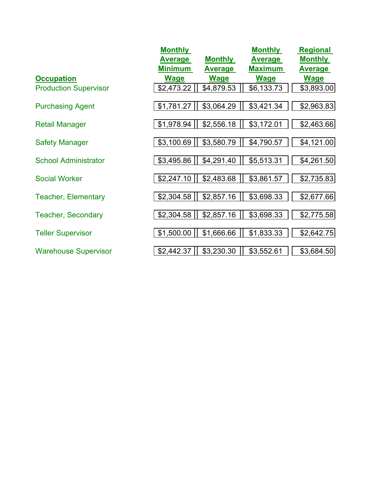|                              | <b>Monthly</b> |                | <b>Monthly</b> | <b>Regional</b> |
|------------------------------|----------------|----------------|----------------|-----------------|
|                              | <b>Average</b> | <b>Monthly</b> | <b>Average</b> | <b>Monthly</b>  |
|                              | <b>Minimum</b> | <b>Average</b> | <b>Maximum</b> | <b>Average</b>  |
| <b>Occupation</b>            | <b>Wage</b>    | <b>Wage</b>    | <b>Wage</b>    | <b>Wage</b>     |
| <b>Production Supervisor</b> | \$2,473.22     | \$4,879.53     | \$6,133.73     | \$3,893.00      |
| <b>Purchasing Agent</b>      | \$1,781.27     | \$3,064.29     | \$3,421.34     | \$2,963.83      |
|                              |                |                |                |                 |
| <b>Retail Manager</b>        | \$1,978.94     | \$2,556.18     | \$3,172.01     | \$2,463.66      |
|                              |                |                |                |                 |
| <b>Safety Manager</b>        | \$3,100.69     | \$3,580.79     | \$4,790.57     | \$4,121.00      |
| <b>School Administrator</b>  | \$3,495.86     | \$4,291.40     | \$5,513.31     | \$4,261.50      |
|                              |                |                |                |                 |
| <b>Social Worker</b>         | \$2,247.10     | \$2,483.68     | \$3,861.57     | \$2,735.83      |
| <b>Teacher, Elementary</b>   | \$2,304.58     | \$2,857.16     | \$3,698.33     | \$2,677.66      |
| <b>Teacher, Secondary</b>    | \$2,304.58     | \$2,857.16     | \$3,698.33     | \$2,775.58      |
|                              |                |                |                |                 |
| <b>Teller Supervisor</b>     | \$1,500.00     | \$1,666.66     | \$1,833.33     | \$2,642.75      |
| <b>Warehouse Supervisor</b>  | \$2,442.37     | \$3,230.30     | \$3,552.61     | \$3,684.50      |
|                              |                |                |                |                 |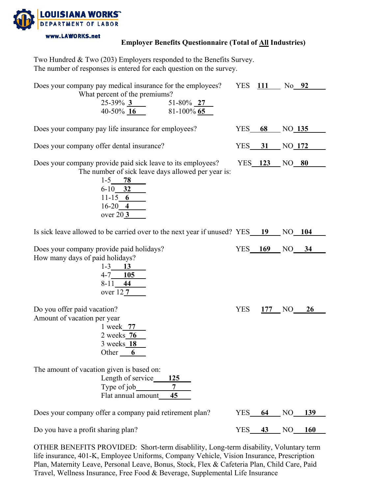

### **Employer Benefits Questionnaire (Total of All Industries)**

| Two Hundred & Two (203) Employers responded to the Benefits Survey. |  |
|---------------------------------------------------------------------|--|
| The number of responses is entered for each question on the survey. |  |

| Does your company pay medical insurance for the employees?                                                                                                                                    |            | <b>YES</b> 111 | No 92               |
|-----------------------------------------------------------------------------------------------------------------------------------------------------------------------------------------------|------------|----------------|---------------------|
| What percent of the premiums?<br>$25-39\%$ 3 51-80% 27<br>40-50% 16<br>$81-100\%$ 65                                                                                                          |            |                |                     |
| Does your company pay life insurance for employees?                                                                                                                                           | YES        | 68             | NO <sub>135</sub>   |
| Does your company offer dental insurance?                                                                                                                                                     | $YES$ 31   |                | NO <sub>172</sub>   |
| Does your company provide paid sick leave to its employees?<br>The number of sick leave days allowed per year is:<br>$1-5$ 78<br>$6-10$ 32<br>11-15 6<br>$16-20$ 4<br>over $20 \underline{3}$ |            |                | YES 123 NO 80       |
| Is sick leave allowed to be carried over to the next year if unused? YES 19 NO 104                                                                                                            |            |                |                     |
| Does your company provide paid holidays?<br>How many days of paid holidays?<br>$1 - 3$ 13<br>$4-7$ 105<br>$8-11$ 44<br>over $12 \overline{7}$                                                 |            |                | YES 169 NO 34       |
| Do you offer paid vacation?<br>Amount of vacation per year<br>1 week 77<br>2 weeks <b>76</b><br>3 weeks 18<br>Other 6                                                                         | <b>YES</b> |                | 177 NO<br><b>26</b> |
| The amount of vacation given is based on:<br>Length of service<br>125<br>Type of $job$<br>7<br>Flat annual amount_<br>45                                                                      |            |                |                     |
| Does your company offer a company paid retirement plan?                                                                                                                                       | <b>YES</b> | 64             | NO<br>139           |
| Do you have a profit sharing plan?                                                                                                                                                            | <b>YES</b> | 43             | NO<br><b>160</b>    |

OTHER BENEFITS PROVIDED: Short-term disablility, Long-term disability, Voluntary term life insurance, 401-K, Employee Uniforms, Company Vehicle, Vision Insurance, Prescription Plan, Maternity Leave, Personal Leave, Bonus, Stock, Flex & Cafeteria Plan, Child Care, Paid Travel, Wellness Insurance, Free Food & Beverage, Supplemental Life Insurance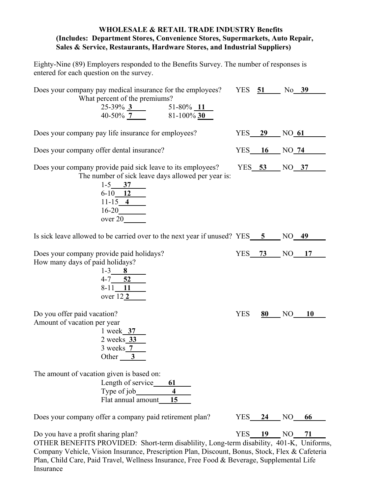#### **WHOLESALE & RETAIL TRADE INDUSTRY Benefits (Includes: Department Stores, Convenience Stores, Supermarkets, Auto Repair, Sales & Service, Restaurants, Hardware Stores, and Industrial Suppliers)**

Eighty-Nine (89) Employers responded to the Benefits Survey. The number of responses is entered for each question on the survey.

| Does your company pay medical insurance for the employees?<br>What percent of the premiums?<br>$25-39\%$ 3 51-80% 11<br>40-50% 7 81-100% 30                                                                           |            |               | YES 51 No 39         |  |
|-----------------------------------------------------------------------------------------------------------------------------------------------------------------------------------------------------------------------|------------|---------------|----------------------|--|
| Does your company pay life insurance for employees?                                                                                                                                                                   |            | <b>YES</b> 29 | NO 61                |  |
| Does your company offer dental insurance?                                                                                                                                                                             |            |               | YES 16 NO 74         |  |
| Does your company provide paid sick leave to its employees?<br>The number of sick leave days allowed per year is:<br>$1-5$ 37<br>$6-10$ 12<br>11-15 4<br>$\begin{array}{c}\n 16-20 \\  \text{over } 20\n \end{array}$ |            |               | YES 53 NO 37         |  |
| Is sick leave allowed to be carried over to the next year if unused? YES 5 NO 49                                                                                                                                      |            |               |                      |  |
| Does your company provide paid holidays?<br>How many days of paid holidays?<br>$1-3$ 8<br>4-7 52<br>8-11 11<br>over 12 <sub>2</sub>                                                                                   |            |               | YES 73 NO 17         |  |
| Do you offer paid vacation?<br>Amount of vacation per year<br>1 week 37<br>2 weeks 33<br>$3$ weeks $7$<br>Other $\frac{3}{2}$                                                                                         | <b>YES</b> |               | $80$ NO 10           |  |
| The amount of vacation given is based on:<br>Length of service_<br>61<br>Type of $job$<br>$\overline{\mathbf{4}}$<br>Flat annual amount<br>15                                                                         |            |               |                      |  |
| Does your company offer a company paid retirement plan?                                                                                                                                                               | YES        | 24            | NO<br>66             |  |
| Do you have a profit sharing plan?                                                                                                                                                                                    | <b>YES</b> | 19            | N <sub>O</sub><br>71 |  |

OTHER BENEFITS PROVIDED: Short-term disablility, Long-term disability, 401-K, Uniforms, Company Vehicle, Vision Insurance, Prescription Plan, Discount, Bonus, Stock, Flex & Cafeteria Plan, Child Care, Paid Travel, Wellness Insurance, Free Food & Beverage, Supplemental Life Insurance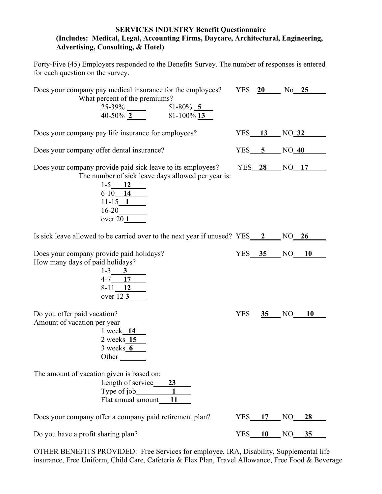#### **SERVICES INDUSTRY Benefit Questionnaire (Includes: Medical, Legal, Accounting Firms, Daycare, Architectural, Engineering, Advertising, Consulting, & Hotel)**

Forty-Five (45) Employers responded to the Benefits Survey. The number of responses is entered for each question on the survey.

| What percent of the premiums?                                                    |            |             | Does your company pay medical insurance for the employees? YES 20 No 25 |
|----------------------------------------------------------------------------------|------------|-------------|-------------------------------------------------------------------------|
|                                                                                  |            |             |                                                                         |
| $25-39\%$ $51-80\%$ $5$<br>40-50% $2$ 81-100% $13$                               |            |             |                                                                         |
| Does your company pay life insurance for employees?                              |            |             | YES 13 NO 32                                                            |
| Does your company offer dental insurance?                                        |            |             | $YES$ 5 NO 40                                                           |
| Does your company provide paid sick leave to its employees?                      |            |             | YES 28 NO 17                                                            |
| The number of sick leave days allowed per year is:<br>$1-5$ 12                   |            |             |                                                                         |
| $\begin{array}{c c}\n6-10 & 14 \\ 11-15 & 1 \\ 16-20 & 1\n\end{array}$           |            |             |                                                                         |
|                                                                                  |            |             |                                                                         |
| over $201$                                                                       |            |             |                                                                         |
| Is sick leave allowed to be carried over to the next year if unused? YES 2 NO 26 |            |             |                                                                         |
| Does your company provide paid holidays?                                         |            |             | YES 35 NO 10                                                            |
| How many days of paid holidays?                                                  |            |             |                                                                         |
| $1-3$ 3<br>4-7 17                                                                |            |             |                                                                         |
| $8-11$ 12<br>over 123                                                            |            |             |                                                                         |
| Do you offer paid vacation?                                                      | <b>YES</b> |             | $35$ NO 10                                                              |
| Amount of vacation per year<br>1 week 14                                         |            |             |                                                                         |
| $2$ weeks $15$                                                                   |            |             |                                                                         |
| $3$ weeks $6$<br>Other $\qquad \qquad$                                           |            |             |                                                                         |
|                                                                                  |            |             |                                                                         |
| The amount of vacation given is based on:<br>Length of service_<br>23            |            |             |                                                                         |
| Flat annual amount                                                               |            |             |                                                                         |
| Does your company offer a company paid retirement plan?                          |            | $YES$ 17 NO | 28                                                                      |
|                                                                                  |            |             |                                                                         |

OTHER BENEFITS PROVIDED: Free Services for employee, IRA, Disability, Supplemental life insurance, Free Uniform, Child Care, Cafeteria & Flex Plan, Travel Allowance, Free Food & Beverage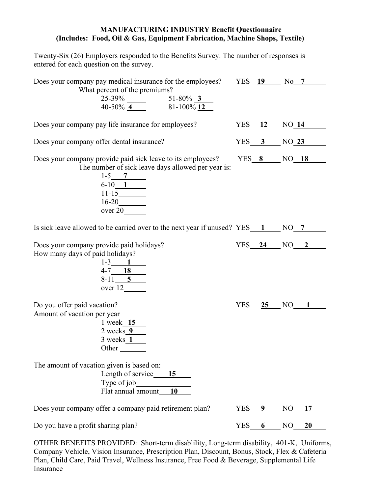#### **MANUFACTURING INDUSTRY Benefit Questionnaire (Includes: Food, Oil & Gas, Equipment Fabrication, Machine Shops, Textile)**

Twenty-Six (26) Employers responded to the Benefits Survey. The number of responses is entered for each question on the survey.

| Does your company pay medical insurance for the employees? YES 19 No 7<br>What percent of the premiums?                                                                         |            |          |                |
|---------------------------------------------------------------------------------------------------------------------------------------------------------------------------------|------------|----------|----------------|
| $25-39\%$ $51-80\%$ $3$<br>40-50% $4$ 81-100% $12$                                                                                                                              |            |          |                |
| Does your company pay life insurance for employees?                                                                                                                             |            |          | $YES$ 12 NO 14 |
| Does your company offer dental insurance?                                                                                                                                       |            |          | $YES$ 3 NO 23  |
| Does your company provide paid sick leave to its employees?<br>The number of sick leave days allowed per year is:<br>$\frac{1-5}{6-10}$ $\frac{7}{11-15}$ $\frac{11-15}{16-20}$ |            |          | YES 8 NO 18    |
| Is sick leave allowed to be carried over to the next year if unused? $YES \_ 1 \_ \N0 \_ 7$                                                                                     |            |          |                |
| Does your company provide paid holidays?<br>How many days of paid holidays?<br>$1-3$ 1<br>$4-7$ 18<br>8-11 5<br>over 12                                                         |            |          | $YES$ 24 NO 2  |
| Do you offer paid vacation?<br>Amount of vacation per year<br>1 week 15<br>$2 \text{ weeks} 9$<br>$3$ weeks $1$<br>Other                                                        | <b>YES</b> |          | 25 NO 1        |
| The amount of vacation given is based on:<br>Length of service 15<br>Type of job<br>Flat annual amount<br>10                                                                    |            |          |                |
| Does your company offer a company paid retirement plan?                                                                                                                         |            | YES 9 NO | 17             |
| Do you have a profit sharing plan?                                                                                                                                              |            |          | $YES$ 6 NO 20  |

OTHER BENEFITS PROVIDED: Short-term disablility, Long-term disability, 401-K, Uniforms, Company Vehicle, Vision Insurance, Prescription Plan, Discount, Bonus, Stock, Flex & Cafeteria Plan, Child Care, Paid Travel, Wellness Insurance, Free Food & Beverage, Supplemental Life Insurance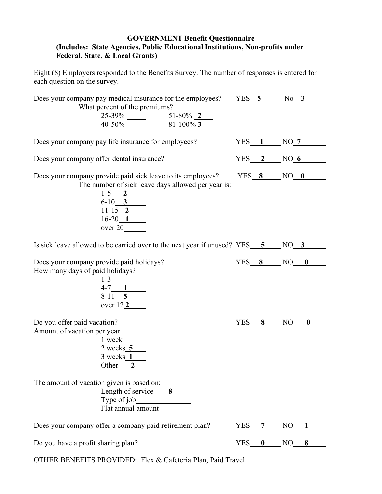#### **GOVERNMENT Benefit Questionnaire (Includes: State Agencies, Public Educational Institutions, Non-profits under Federal, State, & Local Grants)**

Eight (8) Employers responded to the Benefits Survey. The number of responses is entered for each question on the survey.

| Does your company pay medical insurance for the employees? YES 5 No 3                                                                                                                                                 |                    |          |
|-----------------------------------------------------------------------------------------------------------------------------------------------------------------------------------------------------------------------|--------------------|----------|
| What percent of the premiums?<br>$25-39\%$ $51-80\%$ $2$<br>40-50% 81-100% 3                                                                                                                                          |                    |          |
| Does your company pay life insurance for employees?                                                                                                                                                                   | $YES \t1 \tNO \t7$ |          |
| Does your company offer dental insurance?                                                                                                                                                                             | YES 2 NO 6         |          |
| Does your company provide paid sick leave to its employees? YES 8 NO 0<br>The number of sick leave days allowed per year is:<br>$\frac{1-5}{6-10}$ $\frac{2}{11-15}$ $\frac{2}{16-20}$ $\frac{1}{16-20}$<br>over $20$ |                    |          |
| Is sick leave allowed to be carried over to the next year if unused? $YES = 5$ NO 3                                                                                                                                   |                    |          |
| Does your company provide paid holidays?<br>How many days of paid holidays?<br>$1-3$<br>$4-7$ 1<br>$8-11$ 5<br>over $12$ 2                                                                                            | YES $8$ NO $0$     |          |
| Do you offer paid vacation?<br>Amount of vacation per year<br>1 week<br>$2$ weeks $5$<br>$3 \text{ weeks} 1$<br>Other $\frac{2}{\sqrt{2}}$                                                                            | YES 8 NO           | $\bf{0}$ |
| The amount of vacation given is based on:<br>Length of service 8                                                                                                                                                      |                    |          |
| Does your company offer a company paid retirement plan?                                                                                                                                                               | $YES$ 7 NO         |          |
| Do you have a profit sharing plan?                                                                                                                                                                                    | YES 0 NO 8         |          |

OTHER BENEFITS PROVIDED: Flex & Cafeteria Plan, Paid Travel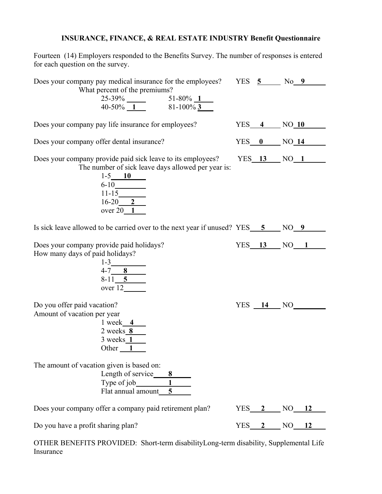## **INSURANCE, FINANCE, & REAL ESTATE INDUSTRY Benefit Questionnaire**

Fourteen (14) Employers responded to the Benefits Survey. The number of responses is entered for each question on the survey.

| Does your company pay medical insurance for the employees? YES 5 No 9                                                                                                                                 |                 |               |
|-------------------------------------------------------------------------------------------------------------------------------------------------------------------------------------------------------|-----------------|---------------|
| What percent of the premiums?<br>$25-39\%$ $51-80\%$ $1$<br>40-50% $1$ 81-100% $3$                                                                                                                    |                 |               |
| Does your company pay life insurance for employees?                                                                                                                                                   |                 | $YES$ 4 NO 10 |
| Does your company offer dental insurance?                                                                                                                                                             |                 | $YES$ 0 NO 14 |
| Does your company provide paid sick leave to its employees? YES 13 NO 1<br>The number of sick leave days allowed per year is:<br>$1-5$ 10<br>$\frac{6-10}{11-15}$ $\frac{11-15}{16-20}$ $\frac{2}{2}$ |                 |               |
| over $20 \underline{1}$<br>Is sick leave allowed to be carried over to the next year if unused? $YES \underline{5}$ NO $9$                                                                            |                 |               |
| Does your company provide paid holidays?<br>How many days of paid holidays?<br>$1-3$<br>$4-7$ 8<br>8-11 5<br>over 12                                                                                  |                 | $YES$ 13 NO 1 |
| Do you offer paid vacation?<br>Amount of vacation per year<br>$1$ week $4$<br>$2 \text{ weeks} 8$<br>3 weeks $1$<br>Other $1$                                                                         | $YES$ $14$ $NO$ |               |
| The amount of vacation given is based on:<br>Length of service $\begin{array}{c c}\n8 \\ \hline\n\end{array}$<br>Type of job $\begin{array}{c c}\n1 \\ \hline\n\end{array}$<br>Flat annual amount 5   |                 |               |
| Does your company offer a company paid retirement plan?                                                                                                                                               |                 | YES 2 NO 12   |
| Do you have a profit sharing plan?                                                                                                                                                                    |                 | YES 2 NO 12   |
| OTHER BENEFITS PROVIDED: Short-term disabilityLong-term disability, Supplemental Life                                                                                                                 |                 |               |

Insurance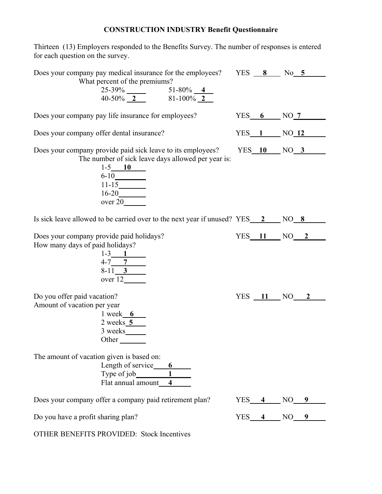# **CONSTRUCTION INDUSTRY Benefit Questionnaire**

Thirteen (13) Employers responded to the Benefits Survey. The number of responses is entered for each question on the survey.

| Does your company pay medical insurance for the employees? YES 8 No 5<br>What percent of the premiums?                                                                                                   |            |                     |
|----------------------------------------------------------------------------------------------------------------------------------------------------------------------------------------------------------|------------|---------------------|
| $25-39\%$<br>$40-50\%$ 2 51-80% 2                                                                                                                                                                        |            |                     |
| Does your company pay life insurance for employees?                                                                                                                                                      |            | $YES$ 6 NO 7        |
| Does your company offer dental insurance?                                                                                                                                                                |            | $YES \t1 \tNO \t12$ |
| Does your company provide paid sick leave to its employees? YES 10 NO 3<br>The number of sick leave days allowed per year is:<br>$1-5$ 10<br>$\frac{6-10}{11-15}$ $\frac{16-20}{\text{over }20}$ over 20 |            |                     |
| Is sick leave allowed to be carried over to the next year if unused? $YES \quad 2 \quad NO \quad 8$                                                                                                      |            |                     |
| Does your company provide paid holidays?<br>How many days of paid holidays?<br>$\frac{1-3}{4-7}$<br>$\frac{7}{8-11}$<br>$\frac{3}{8}$<br>over 12                                                         |            | $YES$ 11 NO 2       |
| Do you offer paid vacation?<br>Amount of vacation per year<br>$1 \text{ week}$ 6<br>$\frac{2 \text{ weeks} 5}{3 \text{ weeks}}$<br>Other                                                                 |            | $YES$ $11$ $NO$ $2$ |
| The amount of vacation given is based on:<br>Length of service<br>Type of job<br>Flat annual amount<br>4                                                                                                 |            |                     |
| Does your company offer a company paid retirement plan?                                                                                                                                                  |            | $YES$ 4 NO 9        |
| Do you have a profit sharing plan?                                                                                                                                                                       | $YES$ 4 NO |                     |
| <b>OTHER BENEFITS PROVIDED: Stock Incentives</b>                                                                                                                                                         |            |                     |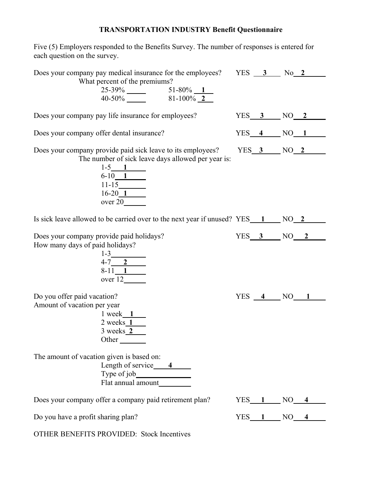## **TRANSPORTATION INDUSTRY Benefit Questionnaire**

Five (5) Employers responded to the Benefits Survey. The number of responses is entered for each question on the survey.

| Does your company pay medical insurance for the employees? YES 3 No 2<br>What percent of the premiums?<br>$25-39\%$ $51-80\%$ $1$<br>40-50% $81-100\%$ $2$                 |                    |                                      |
|----------------------------------------------------------------------------------------------------------------------------------------------------------------------------|--------------------|--------------------------------------|
| Does your company pay life insurance for employees?                                                                                                                        |                    | $YES$ 3 NO 2                         |
| Does your company offer dental insurance?                                                                                                                                  |                    | $YES_4$ NO $1$                       |
| Does your company provide paid sick leave to its employees?<br>The number of sick leave days allowed per year is:<br>$\frac{1-5}{6-10}$ 1<br>$11-15$<br>$\frac{16-20}{20}$ |                    | $YES$ 3 $NO$ 2 $1$                   |
| Is sick leave allowed to be carried over to the next year if unused? $YES \t 1 \t NO \t 2$                                                                                 |                    |                                      |
| Does your company provide paid holidays?<br>How many days of paid holidays?<br>$\frac{1-3}{4-7}$<br>$\frac{2}{8-11}$<br>over 12                                            |                    | $YES$ 3 NO 2                         |
| Do you offer paid vacation?<br>Amount of vacation per year<br>$1$ week $1$<br>$2$ weeks $1$<br>$3 \text{ weeks} 2$<br>Other                                                |                    | $YES \underline{4} NO \underline{1}$ |
| The amount of vacation given is based on:<br>Length of service $\frac{4}{\sqrt{2}}$                                                                                        |                    |                                      |
| Does your company offer a company paid retirement plan?                                                                                                                    | $YES \t1 \tNO \t4$ |                                      |
| Do you have a profit sharing plan?                                                                                                                                         |                    | $YES$ 1 NO 4                         |
| <b>OTHER BENEFITS PROVIDED: Stock Incentives</b>                                                                                                                           |                    |                                      |